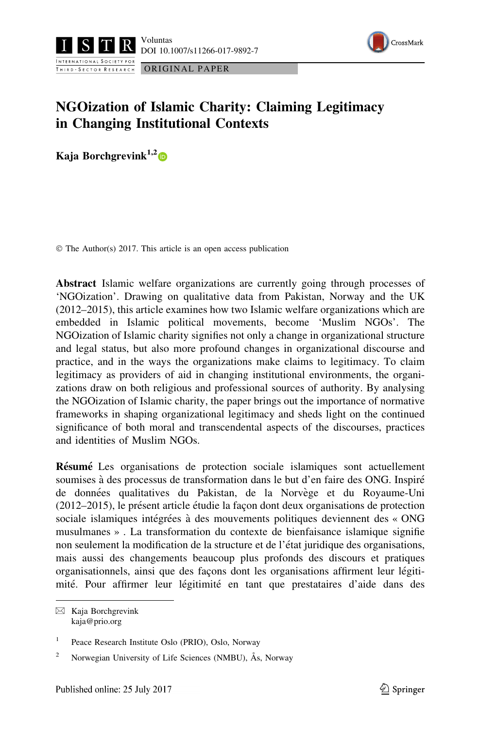



# NGOization of Islamic Charity: Claiming Legitimacy in Changing Institutional Contexts

Kaja Borchgrevink<sup>1,2</sup>

© The Author(s) 2017. This article is an open access publication

Abstract Islamic welfare organizations are currently going through processes of 'NGOization'. Drawing on qualitative data from Pakistan, Norway and the UK (2012–2015), this article examines how two Islamic welfare organizations which are embedded in Islamic political movements, become 'Muslim NGOs'. The NGOization of Islamic charity signifies not only a change in organizational structure and legal status, but also more profound changes in organizational discourse and practice, and in the ways the organizations make claims to legitimacy. To claim legitimacy as providers of aid in changing institutional environments, the organizations draw on both religious and professional sources of authority. By analysing the NGOization of Islamic charity, the paper brings out the importance of normative frameworks in shaping organizational legitimacy and sheds light on the continued significance of both moral and transcendental aspects of the discourses, practices and identities of Muslim NGOs.

Résumé Les organisations de protection sociale islamiques sont actuellement soumises à des processus de transformation dans le but d'en faire des ONG. Inspiré de données qualitatives du Pakistan, de la Norvège et du Royaume-Uni (2012–2015), le présent article étudie la façon dont deux organisations de protection sociale islamiques intégrées à des mouvements politiques deviennent des « ONG musulmanes » . La transformation du contexte de bienfaisance islamique signifie non seulement la modification de la structure et de l'état juridique des organisations, mais aussi des changements beaucoup plus profonds des discours et pratiques organisationnels, ainsi que des façons dont les organisations affirment leur légitimité. Pour affirmer leur légitimité en tant que prestataires d'aide dans des

 $\boxtimes$  Kaja Borchgrevink kaja@prio.org

<sup>&</sup>lt;sup>1</sup> Peace Research Institute Oslo (PRIO), Oslo, Norway

<sup>&</sup>lt;sup>2</sup> Norwegian University of Life Sciences (NMBU), Ås, Norway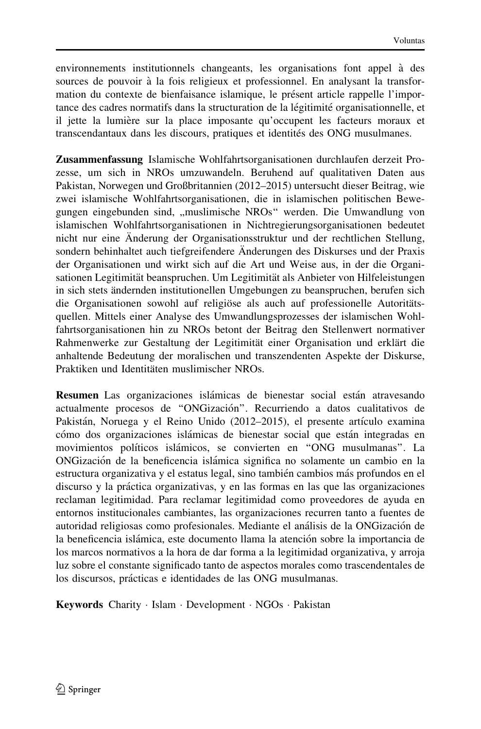environnements institutionnels changeants, les organisations font appel à des sources de pouvoir à la fois religieux et professionnel. En analysant la transformation du contexte de bienfaisance islamique, le présent article rappelle l'importance des cadres normatifs dans la structuration de la légitimité organisationnelle, et il jette la lumière sur la place imposante qu'occupent les facteurs moraux et transcendantaux dans les discours, pratiques et identités des ONG musulmanes.

Zusammenfassung Islamische Wohlfahrtsorganisationen durchlaufen derzeit Prozesse, um sich in NROs umzuwandeln. Beruhend auf qualitativen Daten aus Pakistan, Norwegen und Großbritannien (2012–2015) untersucht dieser Beitrag, wie zwei islamische Wohlfahrtsorganisationen, die in islamischen politischen Bewegungen eingebunden sind, ,,muslimische NROs'' werden. Die Umwandlung von islamischen Wohlfahrtsorganisationen in Nichtregierungsorganisationen bedeutet nicht nur eine Änderung der Organisationsstruktur und der rechtlichen Stellung, sondern behinhaltet auch tiefgreifendere Änderungen des Diskurses und der Praxis der Organisationen und wirkt sich auf die Art und Weise aus, in der die Organisationen Legitimität beanspruchen. Um Legitimität als Anbieter von Hilfeleistungen in sich stets ändernden institutionellen Umgebungen zu beanspruchen, berufen sich die Organisationen sowohl auf religiöse als auch auf professionelle Autoritätsquellen. Mittels einer Analyse des Umwandlungsprozesses der islamischen Wohlfahrtsorganisationen hin zu NROs betont der Beitrag den Stellenwert normativer Rahmenwerke zur Gestaltung der Legitimität einer Organisation und erklärt die anhaltende Bedeutung der moralischen und transzendenten Aspekte der Diskurse, Praktiken und Identitäten muslimischer NROs.

Resumen Las organizaciones islámicas de bienestar social están atravesando actualmente procesos de "ONGización". Recurriendo a datos cualitativos de Pakistán, Noruega y el Reino Unido (2012–2015), el presente artículo examina cómo dos organizaciones islámicas de bienestar social que están integradas en movimientos políticos islámicos, se convierten en "ONG musulmanas". La ONGizacio´n de la beneficencia isla´mica significa no solamente un cambio en la estructura organizativa y el estatus legal, sino también cambios más profundos en el discurso y la práctica organizativas, y en las formas en las que las organizaciones reclaman legitimidad. Para reclamar legitimidad como proveedores de ayuda en entornos institucionales cambiantes, las organizaciones recurren tanto a fuentes de autoridad religiosas como profesionales. Mediante el análisis de la ONGización de la beneficencia islámica, este documento llama la atención sobre la importancia de los marcos normativos a la hora de dar forma a la legitimidad organizativa, y arroja luz sobre el constante significado tanto de aspectos morales como trascendentales de los discursos, prácticas e identidades de las ONG musulmanas.

Keywords Charity - Islam - Development - NGOs - Pakistan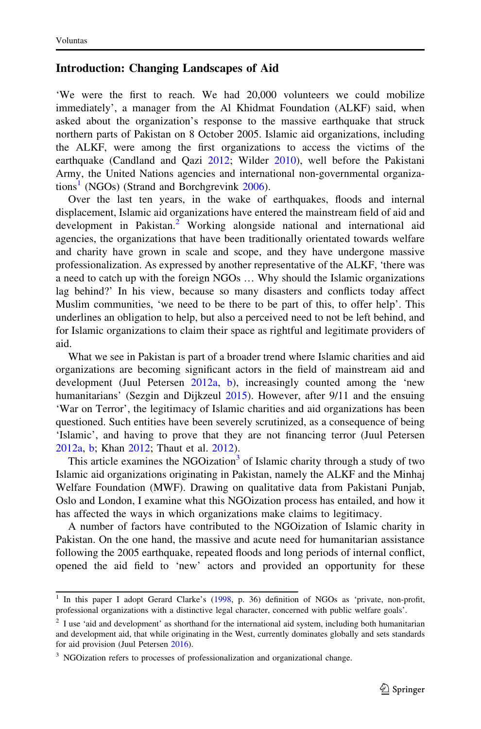### Introduction: Changing Landscapes of Aid

'We were the first to reach. We had 20,000 volunteers we could mobilize immediately', a manager from the Al Khidmat Foundation (ALKF) said, when asked about the organization's response to the massive earthquake that struck northern parts of Pakistan on 8 October 2005. Islamic aid organizations, including the ALKF, were among the first organizations to access the victims of the earthquake (Candland and Qazi [2012](#page-20-0); Wilder [2010\)](#page-22-0), well before the Pakistani Army, the United Nations agencies and international non-governmental organizations<sup>1</sup> (NGOs) (Strand and Borchgrevink  $2006$ ).

Over the last ten years, in the wake of earthquakes, floods and internal displacement, Islamic aid organizations have entered the mainstream field of aid and development in Pakistan.<sup>2</sup> Working alongside national and international aid agencies, the organizations that have been traditionally orientated towards welfare and charity have grown in scale and scope, and they have undergone massive professionalization. As expressed by another representative of the ALKF, 'there was a need to catch up with the foreign NGOs … Why should the Islamic organizations lag behind?' In his view, because so many disasters and conflicts today affect Muslim communities, 'we need to be there to be part of this, to offer help'. This underlines an obligation to help, but also a perceived need to not be left behind, and for Islamic organizations to claim their space as rightful and legitimate providers of aid.

What we see in Pakistan is part of a broader trend where Islamic charities and aid organizations are becoming significant actors in the field of mainstream aid and development (Juul Petersen [2012a](#page-21-0), [b](#page-21-0)), increasingly counted among the 'new humanitarians' (Sezgin and Dijkzeul [2015](#page-22-0)). However, after 9/11 and the ensuing 'War on Terror', the legitimacy of Islamic charities and aid organizations has been questioned. Such entities have been severely scrutinized, as a consequence of being 'Islamic', and having to prove that they are not financing terror (Juul Petersen [2012a](#page-21-0), [b](#page-21-0); Khan [2012](#page-21-0); Thaut et al. [2012\)](#page-22-0).

This article examines the NGOization<sup>3</sup> of Islamic charity through a study of two Islamic aid organizations originating in Pakistan, namely the ALKF and the Minhaj Welfare Foundation (MWF). Drawing on qualitative data from Pakistani Punjab, Oslo and London, I examine what this NGOization process has entailed, and how it has affected the ways in which organizations make claims to legitimacy.

A number of factors have contributed to the NGOization of Islamic charity in Pakistan. On the one hand, the massive and acute need for humanitarian assistance following the 2005 earthquake, repeated floods and long periods of internal conflict, opened the aid field to 'new' actors and provided an opportunity for these

<sup>&</sup>lt;sup>1</sup> In this paper I adopt Gerard Clarke's ([1998](#page-21-0), p. 36) definition of NGOs as 'private, non-profit, professional organizations with a distinctive legal character, concerned with public welfare goals'.

 $2$  I use 'aid and development' as shorthand for the international aid system, including both humanitarian and development aid, that while originating in the West, currently dominates globally and sets standards for aid provision (Juul Petersen [2016](#page-21-0)).

<sup>&</sup>lt;sup>3</sup> NGOization refers to processes of professionalization and organizational change.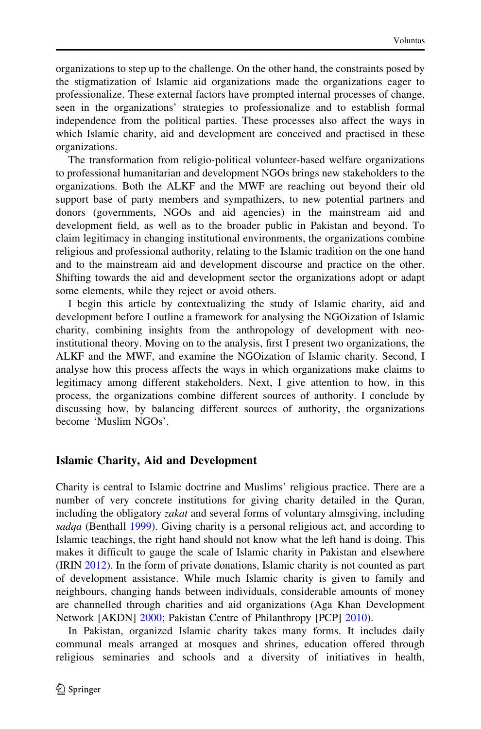organizations to step up to the challenge. On the other hand, the constraints posed by the stigmatization of Islamic aid organizations made the organizations eager to professionalize. These external factors have prompted internal processes of change, seen in the organizations' strategies to professionalize and to establish formal independence from the political parties. These processes also affect the ways in which Islamic charity, aid and development are conceived and practised in these organizations.

The transformation from religio-political volunteer-based welfare organizations to professional humanitarian and development NGOs brings new stakeholders to the organizations. Both the ALKF and the MWF are reaching out beyond their old support base of party members and sympathizers, to new potential partners and donors (governments, NGOs and aid agencies) in the mainstream aid and development field, as well as to the broader public in Pakistan and beyond. To claim legitimacy in changing institutional environments, the organizations combine religious and professional authority, relating to the Islamic tradition on the one hand and to the mainstream aid and development discourse and practice on the other. Shifting towards the aid and development sector the organizations adopt or adapt some elements, while they reject or avoid others.

I begin this article by contextualizing the study of Islamic charity, aid and development before I outline a framework for analysing the NGOization of Islamic charity, combining insights from the anthropology of development with neoinstitutional theory. Moving on to the analysis, first I present two organizations, the ALKF and the MWF, and examine the NGOization of Islamic charity. Second, I analyse how this process affects the ways in which organizations make claims to legitimacy among different stakeholders. Next, I give attention to how, in this process, the organizations combine different sources of authority. I conclude by discussing how, by balancing different sources of authority, the organizations become 'Muslim NGOs'.

#### Islamic Charity, Aid and Development

Charity is central to Islamic doctrine and Muslims' religious practice. There are a number of very concrete institutions for giving charity detailed in the Quran, including the obligatory *zakat* and several forms of voluntary almsgiving, including sadqa (Benthall [1999\)](#page-20-0). Giving charity is a personal religious act, and according to Islamic teachings, the right hand should not know what the left hand is doing. This makes it difficult to gauge the scale of Islamic charity in Pakistan and elsewhere (IRIN [2012\)](#page-21-0). In the form of private donations, Islamic charity is not counted as part of development assistance. While much Islamic charity is given to family and neighbours, changing hands between individuals, considerable amounts of money are channelled through charities and aid organizations (Aga Khan Development Network [AKDN] [2000;](#page-20-0) Pakistan Centre of Philanthropy [PCP] [2010\)](#page-22-0).

In Pakistan, organized Islamic charity takes many forms. It includes daily communal meals arranged at mosques and shrines, education offered through religious seminaries and schools and a diversity of initiatives in health,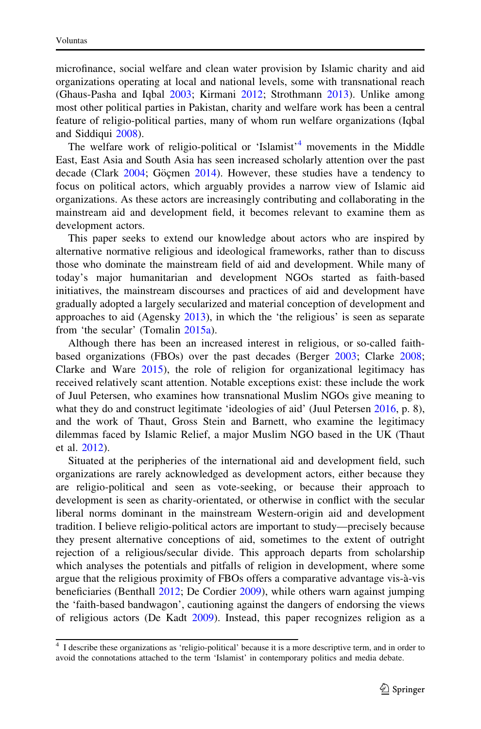microfinance, social welfare and clean water provision by Islamic charity and aid organizations operating at local and national levels, some with transnational reach (Ghaus-Pasha and Iqbal [2003](#page-21-0); Kirmani [2012](#page-21-0); Strothmann [2013\)](#page-22-0). Unlike among most other political parties in Pakistan, charity and welfare work has been a central feature of religio-political parties, many of whom run welfare organizations (Iqbal and Siddiqui [2008\)](#page-21-0).

The welfare work of religio-political or 'Islamist'<sup>4</sup> movements in the Middle East, East Asia and South Asia has seen increased scholarly attention over the past decade (Clark [2004;](#page-20-0) Göçmen [2014](#page-21-0)). However, these studies have a tendency to focus on political actors, which arguably provides a narrow view of Islamic aid organizations. As these actors are increasingly contributing and collaborating in the mainstream aid and development field, it becomes relevant to examine them as development actors.

This paper seeks to extend our knowledge about actors who are inspired by alternative normative religious and ideological frameworks, rather than to discuss those who dominate the mainstream field of aid and development. While many of today's major humanitarian and development NGOs started as faith-based initiatives, the mainstream discourses and practices of aid and development have gradually adopted a largely secularized and material conception of development and approaches to aid (Agensky [2013](#page-20-0)), in which the 'the religious' is seen as separate from 'the secular' (Tomalin [2015a\)](#page-22-0).

Although there has been an increased interest in religious, or so-called faithbased organizations (FBOs) over the past decades (Berger [2003](#page-20-0); Clarke [2008;](#page-21-0) Clarke and Ware [2015](#page-21-0)), the role of religion for organizational legitimacy has received relatively scant attention. Notable exceptions exist: these include the work of Juul Petersen, who examines how transnational Muslim NGOs give meaning to what they do and construct legitimate 'ideologies of aid' (Juul Petersen [2016,](#page-21-0) p. 8), and the work of Thaut, Gross Stein and Barnett, who examine the legitimacy dilemmas faced by Islamic Relief, a major Muslim NGO based in the UK (Thaut et al. [2012\)](#page-22-0).

Situated at the peripheries of the international aid and development field, such organizations are rarely acknowledged as development actors, either because they are religio-political and seen as vote-seeking, or because their approach to development is seen as charity-orientated, or otherwise in conflict with the secular liberal norms dominant in the mainstream Western-origin aid and development tradition. I believe religio-political actors are important to study—precisely because they present alternative conceptions of aid, sometimes to the extent of outright rejection of a religious/secular divide. This approach departs from scholarship which analyses the potentials and pitfalls of religion in development, where some argue that the religious proximity of FBOs offers a comparative advantage vis-a`-vis beneficiaries (Benthall [2012;](#page-20-0) De Cordier [2009](#page-21-0)), while others warn against jumping the 'faith-based bandwagon', cautioning against the dangers of endorsing the views of religious actors (De Kadt [2009\)](#page-21-0). Instead, this paper recognizes religion as a

<sup>4</sup> I describe these organizations as 'religio-political' because it is a more descriptive term, and in order to avoid the connotations attached to the term 'Islamist' in contemporary politics and media debate.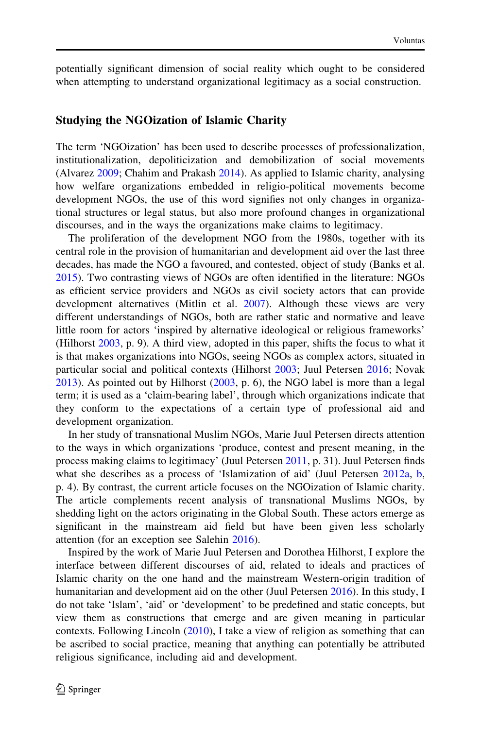potentially significant dimension of social reality which ought to be considered when attempting to understand organizational legitimacy as a social construction.

#### Studying the NGOization of Islamic Charity

The term 'NGOization' has been used to describe processes of professionalization, institutionalization, depoliticization and demobilization of social movements (Alvarez [2009;](#page-20-0) Chahim and Prakash [2014\)](#page-20-0). As applied to Islamic charity, analysing how welfare organizations embedded in religio-political movements become development NGOs, the use of this word signifies not only changes in organizational structures or legal status, but also more profound changes in organizational discourses, and in the ways the organizations make claims to legitimacy.

The proliferation of the development NGO from the 1980s, together with its central role in the provision of humanitarian and development aid over the last three decades, has made the NGO a favoured, and contested, object of study (Banks et al. [2015\)](#page-20-0). Two contrasting views of NGOs are often identified in the literature: NGOs as efficient service providers and NGOs as civil society actors that can provide development alternatives (Mitlin et al. [2007\)](#page-21-0). Although these views are very different understandings of NGOs, both are rather static and normative and leave little room for actors 'inspired by alternative ideological or religious frameworks' (Hilhorst [2003,](#page-21-0) p. 9). A third view, adopted in this paper, shifts the focus to what it is that makes organizations into NGOs, seeing NGOs as complex actors, situated in particular social and political contexts (Hilhorst [2003](#page-21-0); Juul Petersen [2016](#page-21-0); Novak [2013\)](#page-21-0). As pointed out by Hilhorst [\(2003](#page-21-0), p. 6), the NGO label is more than a legal term; it is used as a 'claim-bearing label', through which organizations indicate that they conform to the expectations of a certain type of professional aid and development organization.

In her study of transnational Muslim NGOs, Marie Juul Petersen directs attention to the ways in which organizations 'produce, contest and present meaning, in the process making claims to legitimacy' (Juul Petersen [2011,](#page-21-0) p. 31). Juul Petersen finds what she describes as a process of 'Islamization of aid' (Juul Petersen [2012a](#page-21-0), [b,](#page-21-0) p. 4). By contrast, the current article focuses on the NGOization of Islamic charity. The article complements recent analysis of transnational Muslims NGOs, by shedding light on the actors originating in the Global South. These actors emerge as significant in the mainstream aid field but have been given less scholarly attention (for an exception see Salehin [2016](#page-22-0)).

Inspired by the work of Marie Juul Petersen and Dorothea Hilhorst, I explore the interface between different discourses of aid, related to ideals and practices of Islamic charity on the one hand and the mainstream Western-origin tradition of humanitarian and development aid on the other (Juul Petersen [2016](#page-21-0)). In this study, I do not take 'Islam', 'aid' or 'development' to be predefined and static concepts, but view them as constructions that emerge and are given meaning in particular contexts. Following Lincoln [\(2010](#page-21-0)), I take a view of religion as something that can be ascribed to social practice, meaning that anything can potentially be attributed religious significance, including aid and development.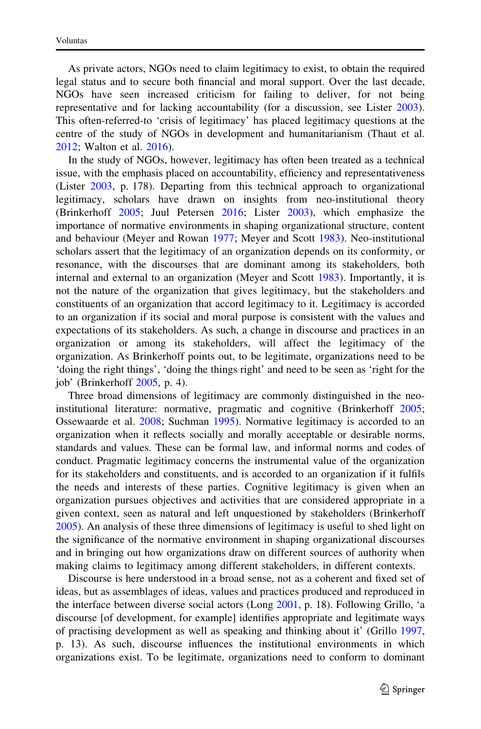As private actors, NGOs need to claim legitimacy to exist, to obtain the required legal status and to secure both financial and moral support. Over the last decade, NGOs have seen increased criticism for failing to deliver, for not being representative and for lacking accountability (for a discussion, see Lister [2003\)](#page-21-0). This often-referred-to 'crisis of legitimacy' has placed legitimacy questions at the centre of the study of NGOs in development and humanitarianism (Thaut et al. [2012;](#page-22-0) Walton et al. [2016\)](#page-22-0).

In the study of NGOs, however, legitimacy has often been treated as a technical issue, with the emphasis placed on accountability, efficiency and representativeness (Lister [2003,](#page-21-0) p. 178). Departing from this technical approach to organizational legitimacy, scholars have drawn on insights from neo-institutional theory (Brinkerhoff [2005](#page-20-0); Juul Petersen [2016;](#page-21-0) Lister [2003\)](#page-21-0), which emphasize the importance of normative environments in shaping organizational structure, content and behaviour (Meyer and Rowan [1977](#page-21-0); Meyer and Scott [1983](#page-21-0)). Neo-institutional scholars assert that the legitimacy of an organization depends on its conformity, or resonance, with the discourses that are dominant among its stakeholders, both internal and external to an organization (Meyer and Scott [1983](#page-21-0)). Importantly, it is not the nature of the organization that gives legitimacy, but the stakeholders and constituents of an organization that accord legitimacy to it. Legitimacy is accorded to an organization if its social and moral purpose is consistent with the values and expectations of its stakeholders. As such, a change in discourse and practices in an organization or among its stakeholders, will affect the legitimacy of the organization. As Brinkerhoff points out, to be legitimate, organizations need to be 'doing the right things', 'doing the things right' and need to be seen as 'right for the job' (Brinkerhoff [2005](#page-20-0), p. 4).

Three broad dimensions of legitimacy are commonly distinguished in the neoinstitutional literature: normative, pragmatic and cognitive (Brinkerhoff [2005;](#page-20-0) Ossewaarde et al. [2008](#page-22-0); Suchman [1995\)](#page-22-0). Normative legitimacy is accorded to an organization when it reflects socially and morally acceptable or desirable norms, standards and values. These can be formal law, and informal norms and codes of conduct. Pragmatic legitimacy concerns the instrumental value of the organization for its stakeholders and constituents, and is accorded to an organization if it fulfils the needs and interests of these parties. Cognitive legitimacy is given when an organization pursues objectives and activities that are considered appropriate in a given context, seen as natural and left unquestioned by stakeholders (Brinkerhoff [2005\)](#page-20-0). An analysis of these three dimensions of legitimacy is useful to shed light on the significance of the normative environment in shaping organizational discourses and in bringing out how organizations draw on different sources of authority when making claims to legitimacy among different stakeholders, in different contexts.

Discourse is here understood in a broad sense, not as a coherent and fixed set of ideas, but as assemblages of ideas, values and practices produced and reproduced in the interface between diverse social actors (Long [2001,](#page-21-0) p. 18). Following Grillo, 'a discourse [of development, for example] identifies appropriate and legitimate ways of practising development as well as speaking and thinking about it' (Grillo [1997,](#page-21-0) p. 13). As such, discourse influences the institutional environments in which organizations exist. To be legitimate, organizations need to conform to dominant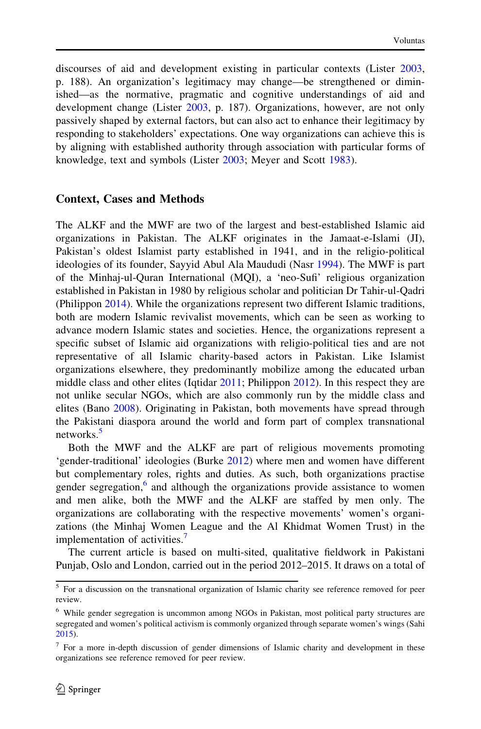discourses of aid and development existing in particular contexts (Lister [2003,](#page-21-0) p. 188). An organization's legitimacy may change—be strengthened or diminished—as the normative, pragmatic and cognitive understandings of aid and development change (Lister [2003](#page-21-0), p. 187). Organizations, however, are not only passively shaped by external factors, but can also act to enhance their legitimacy by responding to stakeholders' expectations. One way organizations can achieve this is by aligning with established authority through association with particular forms of knowledge, text and symbols (Lister [2003](#page-21-0); Meyer and Scott [1983\)](#page-21-0).

#### Context, Cases and Methods

The ALKF and the MWF are two of the largest and best-established Islamic aid organizations in Pakistan. The ALKF originates in the Jamaat-e-Islami (JI), Pakistan's oldest Islamist party established in 1941, and in the religio-political ideologies of its founder, Sayyid Abul Ala Maududi (Nasr [1994](#page-21-0)). The MWF is part of the Minhaj-ul-Quran International (MQI), a 'neo-Sufi' religious organization established in Pakistan in 1980 by religious scholar and politician Dr Tahir-ul-Qadri (Philippon [2014\)](#page-22-0). While the organizations represent two different Islamic traditions, both are modern Islamic revivalist movements, which can be seen as working to advance modern Islamic states and societies. Hence, the organizations represent a specific subset of Islamic aid organizations with religio-political ties and are not representative of all Islamic charity-based actors in Pakistan. Like Islamist organizations elsewhere, they predominantly mobilize among the educated urban middle class and other elites (Iqtidar [2011](#page-21-0); Philippon [2012](#page-22-0)). In this respect they are not unlike secular NGOs, which are also commonly run by the middle class and elites (Bano [2008\)](#page-20-0). Originating in Pakistan, both movements have spread through the Pakistani diaspora around the world and form part of complex transnational networks.<sup>5</sup>

Both the MWF and the ALKF are part of religious movements promoting 'gender-traditional' ideologies (Burke [2012\)](#page-20-0) where men and women have different but complementary roles, rights and duties. As such, both organizations practise gender segregation, $6$  and although the organizations provide assistance to women and men alike, both the MWF and the ALKF are staffed by men only. The organizations are collaborating with the respective movements' women's organizations (the Minhaj Women League and the Al Khidmat Women Trust) in the implementation of activities.<sup>7</sup>

The current article is based on multi-sited, qualitative fieldwork in Pakistani Punjab, Oslo and London, carried out in the period 2012–2015. It draws on a total of

<sup>&</sup>lt;sup>5</sup> For a discussion on the transnational organization of Islamic charity see reference removed for peer review.

<sup>6</sup> While gender segregation is uncommon among NGOs in Pakistan, most political party structures are segregated and women's political activism is commonly organized through separate women's wings (Sahi [2015\)](#page-22-0).

<sup>7</sup> For a more in-depth discussion of gender dimensions of Islamic charity and development in these organizations see reference removed for peer review.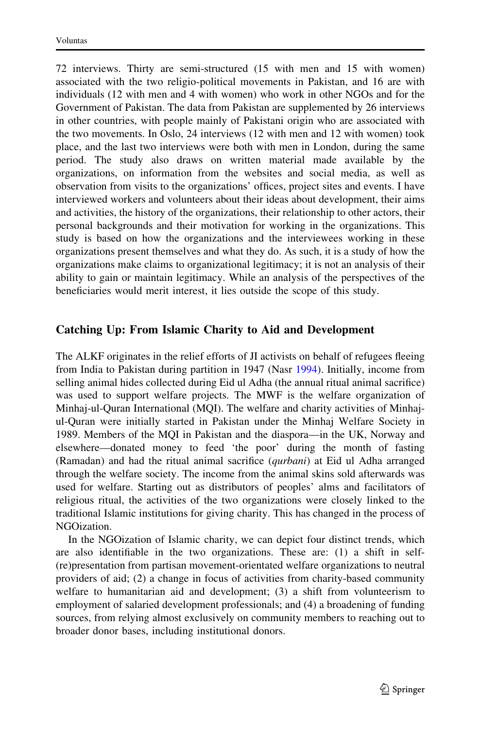72 interviews. Thirty are semi-structured (15 with men and 15 with women) associated with the two religio-political movements in Pakistan, and 16 are with individuals (12 with men and 4 with women) who work in other NGOs and for the Government of Pakistan. The data from Pakistan are supplemented by 26 interviews in other countries, with people mainly of Pakistani origin who are associated with the two movements. In Oslo, 24 interviews (12 with men and 12 with women) took place, and the last two interviews were both with men in London, during the same period. The study also draws on written material made available by the organizations, on information from the websites and social media, as well as observation from visits to the organizations' offices, project sites and events. I have interviewed workers and volunteers about their ideas about development, their aims and activities, the history of the organizations, their relationship to other actors, their personal backgrounds and their motivation for working in the organizations. This study is based on how the organizations and the interviewees working in these organizations present themselves and what they do. As such, it is a study of how the organizations make claims to organizational legitimacy; it is not an analysis of their ability to gain or maintain legitimacy. While an analysis of the perspectives of the beneficiaries would merit interest, it lies outside the scope of this study.

## Catching Up: From Islamic Charity to Aid and Development

The ALKF originates in the relief efforts of JI activists on behalf of refugees fleeing from India to Pakistan during partition in 1947 (Nasr [1994](#page-21-0)). Initially, income from selling animal hides collected during Eid ul Adha (the annual ritual animal sacrifice) was used to support welfare projects. The MWF is the welfare organization of Minhaj-ul-Quran International (MQI). The welfare and charity activities of Minhajul-Quran were initially started in Pakistan under the Minhaj Welfare Society in 1989. Members of the MQI in Pakistan and the diaspora—in the UK, Norway and elsewhere—donated money to feed 'the poor' during the month of fasting (Ramadan) and had the ritual animal sacrifice (qurbani) at Eid ul Adha arranged through the welfare society. The income from the animal skins sold afterwards was used for welfare. Starting out as distributors of peoples' alms and facilitators of religious ritual, the activities of the two organizations were closely linked to the traditional Islamic institutions for giving charity. This has changed in the process of NGOization.

In the NGOization of Islamic charity, we can depict four distinct trends, which are also identifiable in the two organizations. These are: (1) a shift in self- (re)presentation from partisan movement-orientated welfare organizations to neutral providers of aid; (2) a change in focus of activities from charity-based community welfare to humanitarian aid and development; (3) a shift from volunteerism to employment of salaried development professionals; and (4) a broadening of funding sources, from relying almost exclusively on community members to reaching out to broader donor bases, including institutional donors.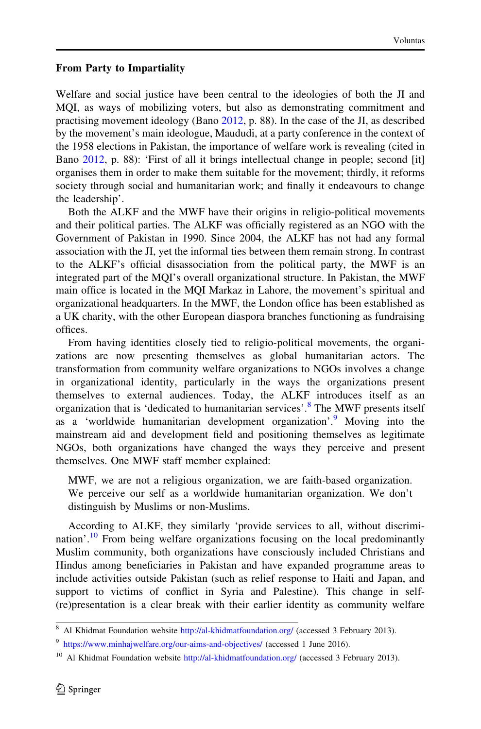#### From Party to Impartiality

Welfare and social justice have been central to the ideologies of both the JI and MQI, as ways of mobilizing voters, but also as demonstrating commitment and practising movement ideology (Bano [2012](#page-20-0), p. 88). In the case of the JI, as described by the movement's main ideologue, Maududi, at a party conference in the context of the 1958 elections in Pakistan, the importance of welfare work is revealing (cited in Bano [2012,](#page-20-0) p. 88): 'First of all it brings intellectual change in people; second [it] organises them in order to make them suitable for the movement; thirdly, it reforms society through social and humanitarian work; and finally it endeavours to change the leadership'.

Both the ALKF and the MWF have their origins in religio-political movements and their political parties. The ALKF was officially registered as an NGO with the Government of Pakistan in 1990. Since 2004, the ALKF has not had any formal association with the JI, yet the informal ties between them remain strong. In contrast to the ALKF's official disassociation from the political party, the MWF is an integrated part of the MQI's overall organizational structure. In Pakistan, the MWF main office is located in the MQI Markaz in Lahore, the movement's spiritual and organizational headquarters. In the MWF, the London office has been established as a UK charity, with the other European diaspora branches functioning as fundraising offices.

From having identities closely tied to religio-political movements, the organizations are now presenting themselves as global humanitarian actors. The transformation from community welfare organizations to NGOs involves a change in organizational identity, particularly in the ways the organizations present themselves to external audiences. Today, the ALKF introduces itself as an organization that is 'dedicated to humanitarian services'.<sup>8</sup> The MWF presents itself as a 'worldwide humanitarian development organization'.<sup>9</sup> Moving into the mainstream aid and development field and positioning themselves as legitimate NGOs, both organizations have changed the ways they perceive and present themselves. One MWF staff member explained:

MWF, we are not a religious organization, we are faith-based organization. We perceive our self as a worldwide humanitarian organization. We don't distinguish by Muslims or non-Muslims.

According to ALKF, they similarly 'provide services to all, without discrimination'.<sup>10</sup> From being welfare organizations focusing on the local predominantly Muslim community, both organizations have consciously included Christians and Hindus among beneficiaries in Pakistan and have expanded programme areas to include activities outside Pakistan (such as relief response to Haiti and Japan, and support to victims of conflict in Syria and Palestine). This change in self- (re)presentation is a clear break with their earlier identity as community welfare

<sup>8</sup> Al Khidmat Foundation website <http://al-khidmatfoundation.org/> (accessed 3 February 2013).

<sup>&</sup>lt;sup>9</sup> <https://www.minhajwelfare.org/our-aims-and-objectives/> (accessed 1 June 2016).

<sup>&</sup>lt;sup>10</sup> Al Khidmat Foundation website <http://al-khidmatfoundation.org/> (accessed 3 February 2013).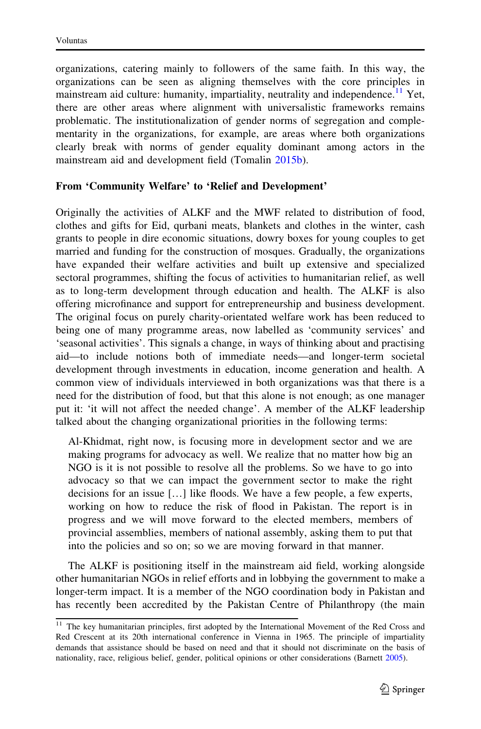organizations, catering mainly to followers of the same faith. In this way, the organizations can be seen as aligning themselves with the core principles in mainstream aid culture: humanity, impartiality, neutrality and independence.<sup>11</sup> Yet, there are other areas where alignment with universalistic frameworks remains problematic. The institutionalization of gender norms of segregation and complementarity in the organizations, for example, are areas where both organizations clearly break with norms of gender equality dominant among actors in the mainstream aid and development field (Tomalin [2015b](#page-22-0)).

### From 'Community Welfare' to 'Relief and Development'

Originally the activities of ALKF and the MWF related to distribution of food, clothes and gifts for Eid, qurbani meats, blankets and clothes in the winter, cash grants to people in dire economic situations, dowry boxes for young couples to get married and funding for the construction of mosques. Gradually, the organizations have expanded their welfare activities and built up extensive and specialized sectoral programmes, shifting the focus of activities to humanitarian relief, as well as to long-term development through education and health. The ALKF is also offering microfinance and support for entrepreneurship and business development. The original focus on purely charity-orientated welfare work has been reduced to being one of many programme areas, now labelled as 'community services' and 'seasonal activities'. This signals a change, in ways of thinking about and practising aid—to include notions both of immediate needs—and longer-term societal development through investments in education, income generation and health. A common view of individuals interviewed in both organizations was that there is a need for the distribution of food, but that this alone is not enough; as one manager put it: 'it will not affect the needed change'. A member of the ALKF leadership talked about the changing organizational priorities in the following terms:

Al-Khidmat, right now, is focusing more in development sector and we are making programs for advocacy as well. We realize that no matter how big an NGO is it is not possible to resolve all the problems. So we have to go into advocacy so that we can impact the government sector to make the right decisions for an issue […] like floods. We have a few people, a few experts, working on how to reduce the risk of flood in Pakistan. The report is in progress and we will move forward to the elected members, members of provincial assemblies, members of national assembly, asking them to put that into the policies and so on; so we are moving forward in that manner.

The ALKF is positioning itself in the mainstream aid field, working alongside other humanitarian NGOs in relief efforts and in lobbying the government to make a longer-term impact. It is a member of the NGO coordination body in Pakistan and has recently been accredited by the Pakistan Centre of Philanthropy (the main

<sup>&</sup>lt;sup>11</sup> The key humanitarian principles, first adopted by the International Movement of the Red Cross and Red Crescent at its 20th international conference in Vienna in 1965. The principle of impartiality demands that assistance should be based on need and that it should not discriminate on the basis of nationality, race, religious belief, gender, political opinions or other considerations (Barnett [2005](#page-20-0)).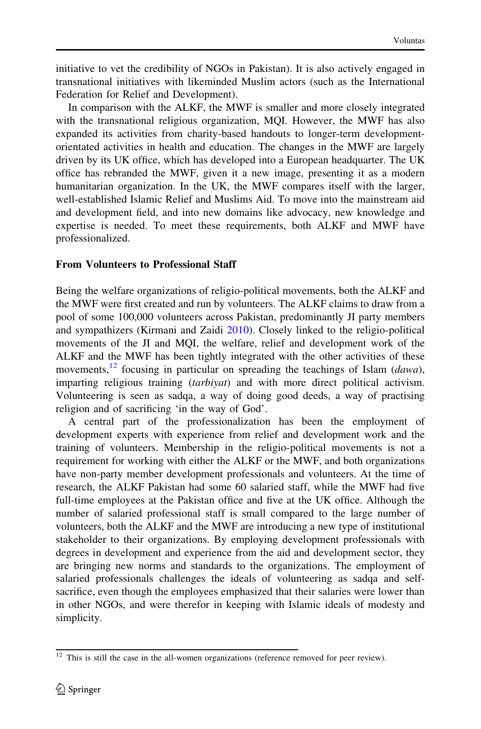initiative to vet the credibility of NGOs in Pakistan). It is also actively engaged in transnational initiatives with likeminded Muslim actors (such as the International Federation for Relief and Development).

In comparison with the ALKF, the MWF is smaller and more closely integrated with the transnational religious organization, MQI. However, the MWF has also expanded its activities from charity-based handouts to longer-term developmentorientated activities in health and education. The changes in the MWF are largely driven by its UK office, which has developed into a European headquarter. The UK office has rebranded the MWF, given it a new image, presenting it as a modern humanitarian organization. In the UK, the MWF compares itself with the larger, well-established Islamic Relief and Muslims Aid. To move into the mainstream aid and development field, and into new domains like advocacy, new knowledge and expertise is needed. To meet these requirements, both ALKF and MWF have professionalized.

#### From Volunteers to Professional Staff

Being the welfare organizations of religio-political movements, both the ALKF and the MWF were first created and run by volunteers. The ALKF claims to draw from a pool of some 100,000 volunteers across Pakistan, predominantly JI party members and sympathizers (Kirmani and Zaidi [2010\)](#page-21-0). Closely linked to the religio-political movements of the JI and MQI, the welfare, relief and development work of the ALKF and the MWF has been tightly integrated with the other activities of these movements,<sup>12</sup> focusing in particular on spreading the teachings of Islam (*dawa*), imparting religious training (tarbiyat) and with more direct political activism. Volunteering is seen as sadqa, a way of doing good deeds, a way of practising religion and of sacrificing 'in the way of God'.

A central part of the professionalization has been the employment of development experts with experience from relief and development work and the training of volunteers. Membership in the religio-political movements is not a requirement for working with either the ALKF or the MWF, and both organizations have non-party member development professionals and volunteers. At the time of research, the ALKF Pakistan had some 60 salaried staff, while the MWF had five full-time employees at the Pakistan office and five at the UK office. Although the number of salaried professional staff is small compared to the large number of volunteers, both the ALKF and the MWF are introducing a new type of institutional stakeholder to their organizations. By employing development professionals with degrees in development and experience from the aid and development sector, they are bringing new norms and standards to the organizations. The employment of salaried professionals challenges the ideals of volunteering as sadqa and selfsacrifice, even though the employees emphasized that their salaries were lower than in other NGOs, and were therefor in keeping with Islamic ideals of modesty and simplicity.

<sup>&</sup>lt;sup>12</sup> This is still the case in the all-women organizations (reference removed for peer review).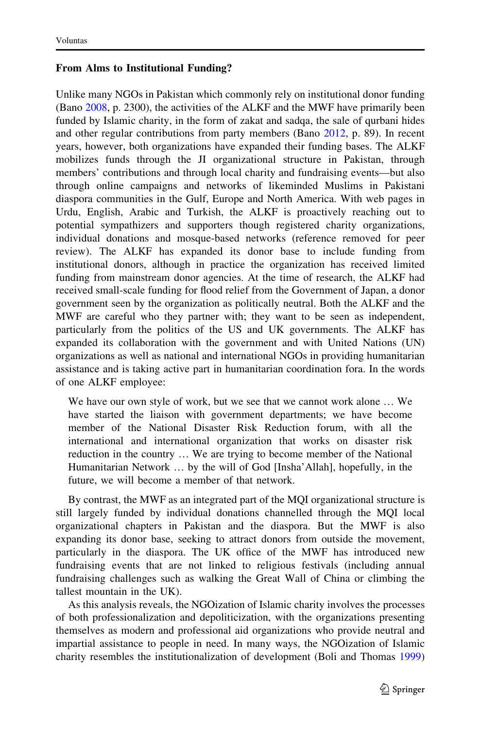#### From Alms to Institutional Funding?

Unlike many NGOs in Pakistan which commonly rely on institutional donor funding (Bano [2008](#page-20-0), p. 2300), the activities of the ALKF and the MWF have primarily been funded by Islamic charity, in the form of zakat and sadqa, the sale of qurbani hides and other regular contributions from party members (Bano [2012,](#page-20-0) p. 89). In recent years, however, both organizations have expanded their funding bases. The ALKF mobilizes funds through the JI organizational structure in Pakistan, through members' contributions and through local charity and fundraising events—but also through online campaigns and networks of likeminded Muslims in Pakistani diaspora communities in the Gulf, Europe and North America. With web pages in Urdu, English, Arabic and Turkish, the ALKF is proactively reaching out to potential sympathizers and supporters though registered charity organizations, individual donations and mosque-based networks (reference removed for peer review). The ALKF has expanded its donor base to include funding from institutional donors, although in practice the organization has received limited funding from mainstream donor agencies. At the time of research, the ALKF had received small-scale funding for flood relief from the Government of Japan, a donor government seen by the organization as politically neutral. Both the ALKF and the MWF are careful who they partner with; they want to be seen as independent, particularly from the politics of the US and UK governments. The ALKF has expanded its collaboration with the government and with United Nations (UN) organizations as well as national and international NGOs in providing humanitarian assistance and is taking active part in humanitarian coordination fora. In the words of one ALKF employee:

We have our own style of work, but we see that we cannot work alone … We have started the liaison with government departments; we have become member of the National Disaster Risk Reduction forum, with all the international and international organization that works on disaster risk reduction in the country … We are trying to become member of the National Humanitarian Network … by the will of God [Insha'Allah], hopefully, in the future, we will become a member of that network.

By contrast, the MWF as an integrated part of the MQI organizational structure is still largely funded by individual donations channelled through the MQI local organizational chapters in Pakistan and the diaspora. But the MWF is also expanding its donor base, seeking to attract donors from outside the movement, particularly in the diaspora. The UK office of the MWF has introduced new fundraising events that are not linked to religious festivals (including annual fundraising challenges such as walking the Great Wall of China or climbing the tallest mountain in the UK).

As this analysis reveals, the NGOization of Islamic charity involves the processes of both professionalization and depoliticization, with the organizations presenting themselves as modern and professional aid organizations who provide neutral and impartial assistance to people in need. In many ways, the NGOization of Islamic charity resembles the institutionalization of development (Boli and Thomas [1999](#page-20-0))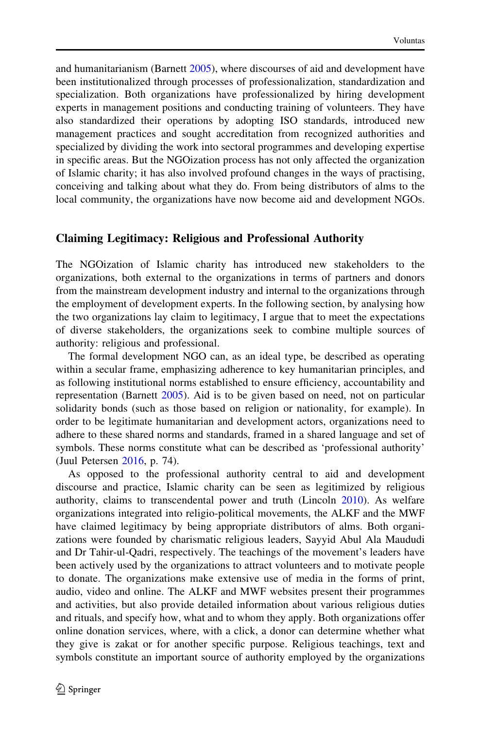and humanitarianism (Barnett [2005](#page-20-0)), where discourses of aid and development have been institutionalized through processes of professionalization, standardization and specialization. Both organizations have professionalized by hiring development experts in management positions and conducting training of volunteers. They have also standardized their operations by adopting ISO standards, introduced new management practices and sought accreditation from recognized authorities and specialized by dividing the work into sectoral programmes and developing expertise in specific areas. But the NGOization process has not only affected the organization of Islamic charity; it has also involved profound changes in the ways of practising, conceiving and talking about what they do. From being distributors of alms to the local community, the organizations have now become aid and development NGOs.

#### Claiming Legitimacy: Religious and Professional Authority

The NGOization of Islamic charity has introduced new stakeholders to the organizations, both external to the organizations in terms of partners and donors from the mainstream development industry and internal to the organizations through the employment of development experts. In the following section, by analysing how the two organizations lay claim to legitimacy, I argue that to meet the expectations of diverse stakeholders, the organizations seek to combine multiple sources of authority: religious and professional.

The formal development NGO can, as an ideal type, be described as operating within a secular frame, emphasizing adherence to key humanitarian principles, and as following institutional norms established to ensure efficiency, accountability and representation (Barnett [2005\)](#page-20-0). Aid is to be given based on need, not on particular solidarity bonds (such as those based on religion or nationality, for example). In order to be legitimate humanitarian and development actors, organizations need to adhere to these shared norms and standards, framed in a shared language and set of symbols. These norms constitute what can be described as 'professional authority' (Juul Petersen [2016](#page-21-0), p. 74).

As opposed to the professional authority central to aid and development discourse and practice, Islamic charity can be seen as legitimized by religious authority, claims to transcendental power and truth (Lincoln [2010](#page-21-0)). As welfare organizations integrated into religio-political movements, the ALKF and the MWF have claimed legitimacy by being appropriate distributors of alms. Both organizations were founded by charismatic religious leaders, Sayyid Abul Ala Maududi and Dr Tahir-ul-Qadri, respectively. The teachings of the movement's leaders have been actively used by the organizations to attract volunteers and to motivate people to donate. The organizations make extensive use of media in the forms of print, audio, video and online. The ALKF and MWF websites present their programmes and activities, but also provide detailed information about various religious duties and rituals, and specify how, what and to whom they apply. Both organizations offer online donation services, where, with a click, a donor can determine whether what they give is zakat or for another specific purpose. Religious teachings, text and symbols constitute an important source of authority employed by the organizations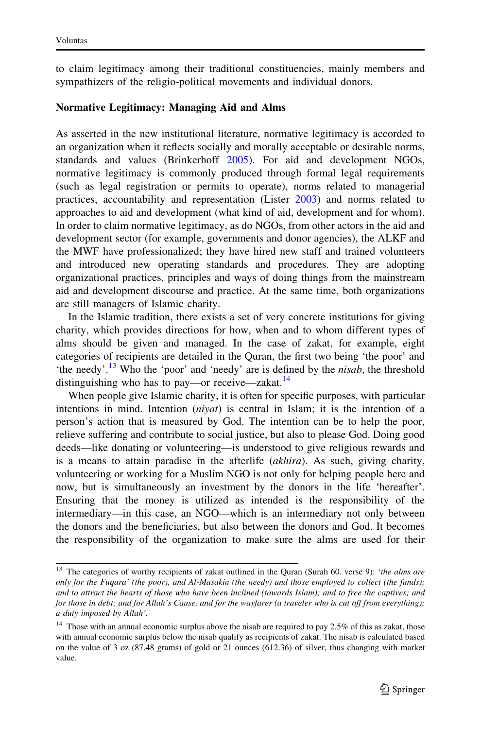to claim legitimacy among their traditional constituencies, mainly members and sympathizers of the religio-political movements and individual donors.

## Normative Legitimacy: Managing Aid and Alms

As asserted in the new institutional literature, normative legitimacy is accorded to an organization when it reflects socially and morally acceptable or desirable norms, standards and values (Brinkerhoff [2005](#page-20-0)). For aid and development NGOs, normative legitimacy is commonly produced through formal legal requirements (such as legal registration or permits to operate), norms related to managerial practices, accountability and representation (Lister [2003\)](#page-21-0) and norms related to approaches to aid and development (what kind of aid, development and for whom). In order to claim normative legitimacy, as do NGOs, from other actors in the aid and development sector (for example, governments and donor agencies), the ALKF and the MWF have professionalized; they have hired new staff and trained volunteers and introduced new operating standards and procedures. They are adopting organizational practices, principles and ways of doing things from the mainstream aid and development discourse and practice. At the same time, both organizations are still managers of Islamic charity.

In the Islamic tradition, there exists a set of very concrete institutions for giving charity, which provides directions for how, when and to whom different types of alms should be given and managed. In the case of zakat, for example, eight categories of recipients are detailed in the Quran, the first two being 'the poor' and 'the needy'.<sup>13</sup> Who the 'poor' and 'needy' are is defined by the *nisab*, the threshold distinguishing who has to pay—or receive—zakat. $^{14}$ 

When people give Islamic charity, it is often for specific purposes, with particular intentions in mind. Intention  $(niyat)$  is central in Islam; it is the intention of a person's action that is measured by God. The intention can be to help the poor, relieve suffering and contribute to social justice, but also to please God. Doing good deeds—like donating or volunteering—is understood to give religious rewards and is a means to attain paradise in the afterlife (akhira). As such, giving charity, volunteering or working for a Muslim NGO is not only for helping people here and now, but is simultaneously an investment by the donors in the life 'hereafter'. Ensuring that the money is utilized as intended is the responsibility of the intermediary—in this case, an NGO—which is an intermediary not only between the donors and the beneficiaries, but also between the donors and God. It becomes the responsibility of the organization to make sure the alms are used for their

<sup>&</sup>lt;sup>13</sup> The categories of worthy recipients of zakat outlined in the Quran (Surah 60. verse 9): 'the alms are only for the Fuqara' (the poor), and Al-Masakin (the needy) and those employed to collect (the funds); and to attract the hearts of those who have been inclined (towards Islam); and to free the captives; and for those in debt; and for Allah's Cause, and for the wayfarer (a traveler who is cut off from everything); a duty imposed by Allah'.

 $14$  Those with an annual economic surplus above the nisab are required to pay 2.5% of this as zakat, those with annual economic surplus below the nisab qualify as recipients of zakat. The nisab is calculated based on the value of 3 oz (87.48 grams) of gold or 21 ounces (612.36) of silver, thus changing with market value.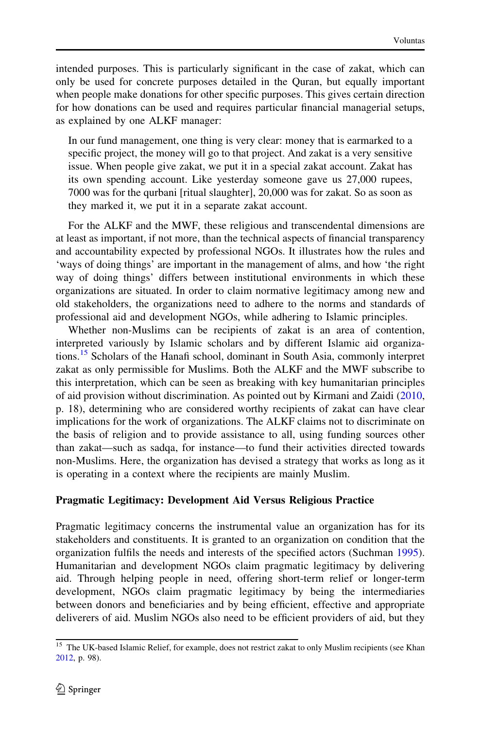intended purposes. This is particularly significant in the case of zakat, which can only be used for concrete purposes detailed in the Quran, but equally important when people make donations for other specific purposes. This gives certain direction for how donations can be used and requires particular financial managerial setups, as explained by one ALKF manager:

In our fund management, one thing is very clear: money that is earmarked to a specific project, the money will go to that project. And zakat is a very sensitive issue. When people give zakat, we put it in a special zakat account. Zakat has its own spending account. Like yesterday someone gave us 27,000 rupees, 7000 was for the qurbani [ritual slaughter], 20,000 was for zakat. So as soon as they marked it, we put it in a separate zakat account.

For the ALKF and the MWF, these religious and transcendental dimensions are at least as important, if not more, than the technical aspects of financial transparency and accountability expected by professional NGOs. It illustrates how the rules and 'ways of doing things' are important in the management of alms, and how 'the right way of doing things' differs between institutional environments in which these organizations are situated. In order to claim normative legitimacy among new and old stakeholders, the organizations need to adhere to the norms and standards of professional aid and development NGOs, while adhering to Islamic principles.

Whether non-Muslims can be recipients of zakat is an area of contention, interpreted variously by Islamic scholars and by different Islamic aid organizations.<sup>15</sup> Scholars of the Hanafi school, dominant in South Asia, commonly interpret zakat as only permissible for Muslims. Both the ALKF and the MWF subscribe to this interpretation, which can be seen as breaking with key humanitarian principles of aid provision without discrimination. As pointed out by Kirmani and Zaidi ([2010,](#page-21-0) p. 18), determining who are considered worthy recipients of zakat can have clear implications for the work of organizations. The ALKF claims not to discriminate on the basis of religion and to provide assistance to all, using funding sources other than zakat—such as sadqa, for instance—to fund their activities directed towards non-Muslims. Here, the organization has devised a strategy that works as long as it is operating in a context where the recipients are mainly Muslim.

## Pragmatic Legitimacy: Development Aid Versus Religious Practice

Pragmatic legitimacy concerns the instrumental value an organization has for its stakeholders and constituents. It is granted to an organization on condition that the organization fulfils the needs and interests of the specified actors (Suchman [1995\)](#page-22-0). Humanitarian and development NGOs claim pragmatic legitimacy by delivering aid. Through helping people in need, offering short-term relief or longer-term development, NGOs claim pragmatic legitimacy by being the intermediaries between donors and beneficiaries and by being efficient, effective and appropriate deliverers of aid. Muslim NGOs also need to be efficient providers of aid, but they

<sup>&</sup>lt;sup>15</sup> The UK-based Islamic Relief, for example, does not restrict zakat to only Muslim recipients (see Khan [2012,](#page-21-0) p. 98).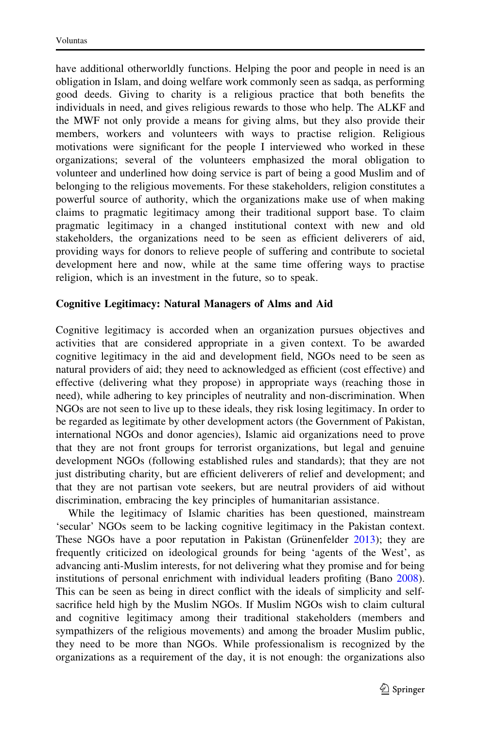have additional otherworldly functions. Helping the poor and people in need is an obligation in Islam, and doing welfare work commonly seen as sadqa, as performing good deeds. Giving to charity is a religious practice that both benefits the individuals in need, and gives religious rewards to those who help. The ALKF and the MWF not only provide a means for giving alms, but they also provide their members, workers and volunteers with ways to practise religion. Religious motivations were significant for the people I interviewed who worked in these organizations; several of the volunteers emphasized the moral obligation to volunteer and underlined how doing service is part of being a good Muslim and of belonging to the religious movements. For these stakeholders, religion constitutes a powerful source of authority, which the organizations make use of when making claims to pragmatic legitimacy among their traditional support base. To claim pragmatic legitimacy in a changed institutional context with new and old stakeholders, the organizations need to be seen as efficient deliverers of aid, providing ways for donors to relieve people of suffering and contribute to societal development here and now, while at the same time offering ways to practise religion, which is an investment in the future, so to speak.

## Cognitive Legitimacy: Natural Managers of Alms and Aid

Cognitive legitimacy is accorded when an organization pursues objectives and activities that are considered appropriate in a given context. To be awarded cognitive legitimacy in the aid and development field, NGOs need to be seen as natural providers of aid; they need to acknowledged as efficient (cost effective) and effective (delivering what they propose) in appropriate ways (reaching those in need), while adhering to key principles of neutrality and non-discrimination. When NGOs are not seen to live up to these ideals, they risk losing legitimacy. In order to be regarded as legitimate by other development actors (the Government of Pakistan, international NGOs and donor agencies), Islamic aid organizations need to prove that they are not front groups for terrorist organizations, but legal and genuine development NGOs (following established rules and standards); that they are not just distributing charity, but are efficient deliverers of relief and development; and that they are not partisan vote seekers, but are neutral providers of aid without discrimination, embracing the key principles of humanitarian assistance.

While the legitimacy of Islamic charities has been questioned, mainstream 'secular' NGOs seem to be lacking cognitive legitimacy in the Pakistan context. These NGOs have a poor reputation in Pakistan (Grünenfelder  $2013$ ); they are frequently criticized on ideological grounds for being 'agents of the West', as advancing anti-Muslim interests, for not delivering what they promise and for being institutions of personal enrichment with individual leaders profiting (Bano [2008\)](#page-20-0). This can be seen as being in direct conflict with the ideals of simplicity and selfsacrifice held high by the Muslim NGOs. If Muslim NGOs wish to claim cultural and cognitive legitimacy among their traditional stakeholders (members and sympathizers of the religious movements) and among the broader Muslim public, they need to be more than NGOs. While professionalism is recognized by the organizations as a requirement of the day, it is not enough: the organizations also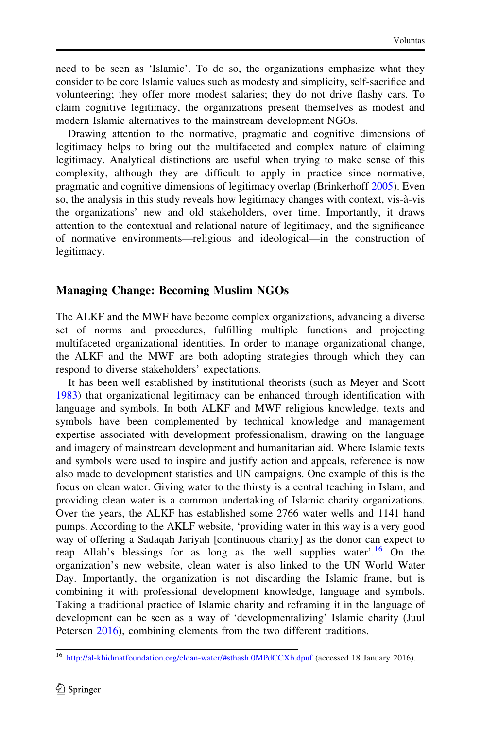need to be seen as 'Islamic'. To do so, the organizations emphasize what they consider to be core Islamic values such as modesty and simplicity, self-sacrifice and volunteering; they offer more modest salaries; they do not drive flashy cars. To claim cognitive legitimacy, the organizations present themselves as modest and modern Islamic alternatives to the mainstream development NGOs.

Drawing attention to the normative, pragmatic and cognitive dimensions of legitimacy helps to bring out the multifaceted and complex nature of claiming legitimacy. Analytical distinctions are useful when trying to make sense of this complexity, although they are difficult to apply in practice since normative, pragmatic and cognitive dimensions of legitimacy overlap (Brinkerhoff [2005](#page-20-0)). Even so, the analysis in this study reveals how legitimacy changes with context, vis-a`-vis the organizations' new and old stakeholders, over time. Importantly, it draws attention to the contextual and relational nature of legitimacy, and the significance of normative environments—religious and ideological—in the construction of legitimacy.

## Managing Change: Becoming Muslim NGOs

The ALKF and the MWF have become complex organizations, advancing a diverse set of norms and procedures, fulfilling multiple functions and projecting multifaceted organizational identities. In order to manage organizational change, the ALKF and the MWF are both adopting strategies through which they can respond to diverse stakeholders' expectations.

It has been well established by institutional theorists (such as Meyer and Scott [1983\)](#page-21-0) that organizational legitimacy can be enhanced through identification with language and symbols. In both ALKF and MWF religious knowledge, texts and symbols have been complemented by technical knowledge and management expertise associated with development professionalism, drawing on the language and imagery of mainstream development and humanitarian aid. Where Islamic texts and symbols were used to inspire and justify action and appeals, reference is now also made to development statistics and UN campaigns. One example of this is the focus on clean water. Giving water to the thirsty is a central teaching in Islam, and providing clean water is a common undertaking of Islamic charity organizations. Over the years, the ALKF has established some 2766 water wells and 1141 hand pumps. According to the AKLF website, 'providing water in this way is a very good way of offering a Sadaqah Jariyah [continuous charity] as the donor can expect to reap Allah's blessings for as long as the well supplies water'.<sup>16</sup> On the organization's new website, clean water is also linked to the UN World Water Day. Importantly, the organization is not discarding the Islamic frame, but is combining it with professional development knowledge, language and symbols. Taking a traditional practice of Islamic charity and reframing it in the language of development can be seen as a way of 'developmentalizing' Islamic charity (Juul Petersen [2016](#page-21-0)), combining elements from the two different traditions.

<sup>&</sup>lt;sup>16</sup> [http://al-khidmatfoundation.org/clean-water/#sthash.0MPdCCXb.dpuf](http://al-khidmatfoundation.org/clean-water/%23sthash.0MPdCCXb.dpuf) (accessed 18 January 2016).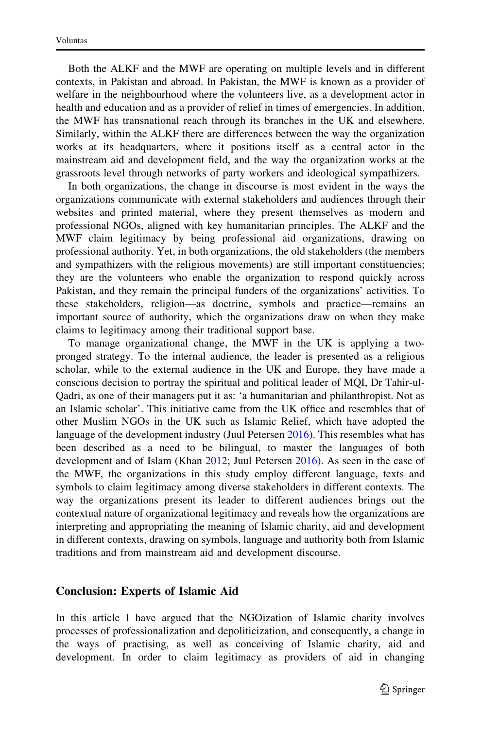Both the ALKF and the MWF are operating on multiple levels and in different contexts, in Pakistan and abroad. In Pakistan, the MWF is known as a provider of welfare in the neighbourhood where the volunteers live, as a development actor in health and education and as a provider of relief in times of emergencies. In addition, the MWF has transnational reach through its branches in the UK and elsewhere. Similarly, within the ALKF there are differences between the way the organization works at its headquarters, where it positions itself as a central actor in the mainstream aid and development field, and the way the organization works at the grassroots level through networks of party workers and ideological sympathizers.

In both organizations, the change in discourse is most evident in the ways the organizations communicate with external stakeholders and audiences through their websites and printed material, where they present themselves as modern and professional NGOs, aligned with key humanitarian principles. The ALKF and the MWF claim legitimacy by being professional aid organizations, drawing on professional authority. Yet, in both organizations, the old stakeholders (the members and sympathizers with the religious movements) are still important constituencies; they are the volunteers who enable the organization to respond quickly across Pakistan, and they remain the principal funders of the organizations' activities. To these stakeholders, religion—as doctrine, symbols and practice—remains an important source of authority, which the organizations draw on when they make claims to legitimacy among their traditional support base.

To manage organizational change, the MWF in the UK is applying a twopronged strategy. To the internal audience, the leader is presented as a religious scholar, while to the external audience in the UK and Europe, they have made a conscious decision to portray the spiritual and political leader of MQI, Dr Tahir-ul-Qadri, as one of their managers put it as: 'a humanitarian and philanthropist. Not as an Islamic scholar'. This initiative came from the UK office and resembles that of other Muslim NGOs in the UK such as Islamic Relief, which have adopted the language of the development industry (Juul Petersen [2016\)](#page-21-0). This resembles what has been described as a need to be bilingual, to master the languages of both development and of Islam (Khan [2012;](#page-21-0) Juul Petersen [2016](#page-21-0)). As seen in the case of the MWF, the organizations in this study employ different language, texts and symbols to claim legitimacy among diverse stakeholders in different contexts. The way the organizations present its leader to different audiences brings out the contextual nature of organizational legitimacy and reveals how the organizations are interpreting and appropriating the meaning of Islamic charity, aid and development in different contexts, drawing on symbols, language and authority both from Islamic traditions and from mainstream aid and development discourse.

#### Conclusion: Experts of Islamic Aid

In this article I have argued that the NGOization of Islamic charity involves processes of professionalization and depoliticization, and consequently, a change in the ways of practising, as well as conceiving of Islamic charity, aid and development. In order to claim legitimacy as providers of aid in changing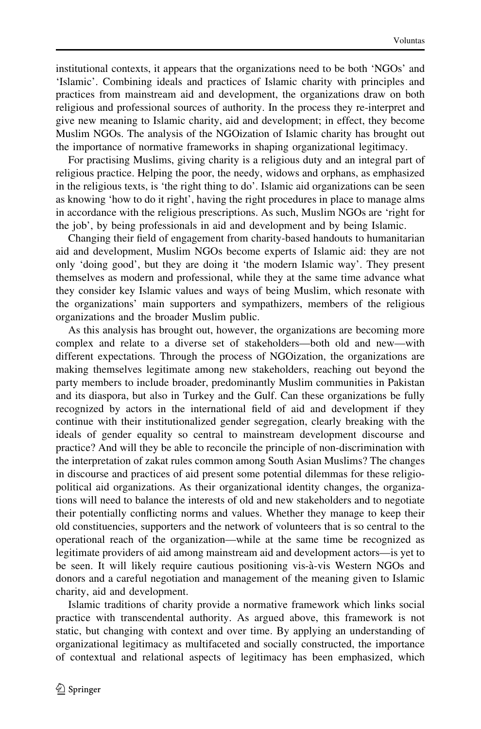institutional contexts, it appears that the organizations need to be both 'NGOs' and 'Islamic'. Combining ideals and practices of Islamic charity with principles and practices from mainstream aid and development, the organizations draw on both religious and professional sources of authority. In the process they re-interpret and give new meaning to Islamic charity, aid and development; in effect, they become Muslim NGOs. The analysis of the NGOization of Islamic charity has brought out the importance of normative frameworks in shaping organizational legitimacy.

For practising Muslims, giving charity is a religious duty and an integral part of religious practice. Helping the poor, the needy, widows and orphans, as emphasized in the religious texts, is 'the right thing to do'. Islamic aid organizations can be seen as knowing 'how to do it right', having the right procedures in place to manage alms in accordance with the religious prescriptions. As such, Muslim NGOs are 'right for the job', by being professionals in aid and development and by being Islamic.

Changing their field of engagement from charity-based handouts to humanitarian aid and development, Muslim NGOs become experts of Islamic aid: they are not only 'doing good', but they are doing it 'the modern Islamic way'. They present themselves as modern and professional, while they at the same time advance what they consider key Islamic values and ways of being Muslim, which resonate with the organizations' main supporters and sympathizers, members of the religious organizations and the broader Muslim public.

As this analysis has brought out, however, the organizations are becoming more complex and relate to a diverse set of stakeholders—both old and new—with different expectations. Through the process of NGOization, the organizations are making themselves legitimate among new stakeholders, reaching out beyond the party members to include broader, predominantly Muslim communities in Pakistan and its diaspora, but also in Turkey and the Gulf. Can these organizations be fully recognized by actors in the international field of aid and development if they continue with their institutionalized gender segregation, clearly breaking with the ideals of gender equality so central to mainstream development discourse and practice? And will they be able to reconcile the principle of non-discrimination with the interpretation of zakat rules common among South Asian Muslims? The changes in discourse and practices of aid present some potential dilemmas for these religiopolitical aid organizations. As their organizational identity changes, the organizations will need to balance the interests of old and new stakeholders and to negotiate their potentially conflicting norms and values. Whether they manage to keep their old constituencies, supporters and the network of volunteers that is so central to the operational reach of the organization—while at the same time be recognized as legitimate providers of aid among mainstream aid and development actors—is yet to be seen. It will likely require cautious positioning vis-à-vis Western NGOs and donors and a careful negotiation and management of the meaning given to Islamic charity, aid and development.

Islamic traditions of charity provide a normative framework which links social practice with transcendental authority. As argued above, this framework is not static, but changing with context and over time. By applying an understanding of organizational legitimacy as multifaceted and socially constructed, the importance of contextual and relational aspects of legitimacy has been emphasized, which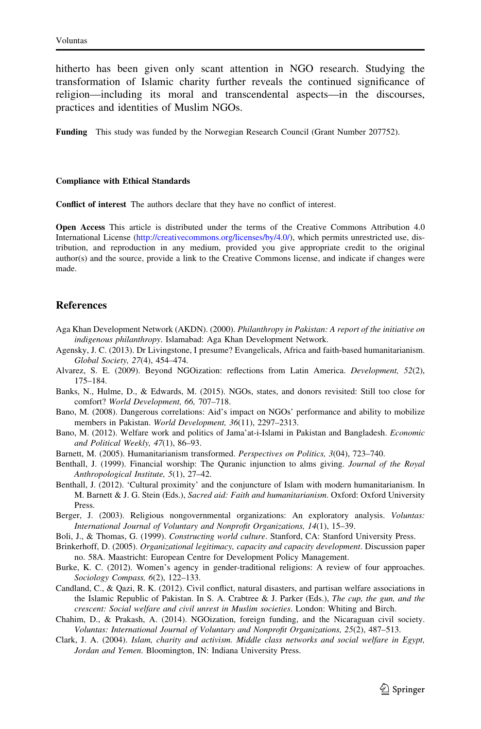<span id="page-20-0"></span>hitherto has been given only scant attention in NGO research. Studying the transformation of Islamic charity further reveals the continued significance of religion—including its moral and transcendental aspects—in the discourses, practices and identities of Muslim NGOs.

Funding This study was funded by the Norwegian Research Council (Grant Number 207752).

#### Compliance with Ethical Standards

Conflict of interest The authors declare that they have no conflict of interest.

Open Access This article is distributed under the terms of the Creative Commons Attribution 4.0 International License ([http://creativecommons.org/licenses/by/4.0/\)](http://creativecommons.org/licenses/by/4.0/), which permits unrestricted use, distribution, and reproduction in any medium, provided you give appropriate credit to the original author(s) and the source, provide a link to the Creative Commons license, and indicate if changes were made.

#### **References**

- Aga Khan Development Network (AKDN). (2000). Philanthropy in Pakistan: A report of the initiative on indigenous philanthropy. Islamabad: Aga Khan Development Network.
- Agensky, J. C. (2013). Dr Livingstone, I presume? Evangelicals, Africa and faith-based humanitarianism. Global Society, 27(4), 454–474.
- Alvarez, S. E. (2009). Beyond NGOization: reflections from Latin America. Development, 52(2), 175–184.
- Banks, N., Hulme, D., & Edwards, M. (2015). NGOs, states, and donors revisited: Still too close for comfort? World Development, 66, 707–718.
- Bano, M. (2008). Dangerous correlations: Aid's impact on NGOs' performance and ability to mobilize members in Pakistan. World Development, 36(11), 2297–2313.
- Bano, M. (2012). Welfare work and politics of Jama'at-i-Islami in Pakistan and Bangladesh. Economic and Political Weekly, 47(1), 86–93.
- Barnett, M. (2005). Humanitarianism transformed. Perspectives on Politics, 3(04), 723–740.
- Benthall, J. (1999). Financial worship: The Quranic injunction to alms giving. Journal of the Royal Anthropological Institute, 5(1), 27–42.
- Benthall, J. (2012). 'Cultural proximity' and the conjuncture of Islam with modern humanitarianism. In M. Barnett & J. G. Stein (Eds.), Sacred aid: Faith and humanitarianism. Oxford: Oxford University Press.
- Berger, J. (2003). Religious nongovernmental organizations: An exploratory analysis. Voluntas: International Journal of Voluntary and Nonprofit Organizations, 14(1), 15–39.
- Boli, J., & Thomas, G. (1999). Constructing world culture. Stanford, CA: Stanford University Press.
- Brinkerhoff, D. (2005). Organizational legitimacy, capacity and capacity development. Discussion paper no. 58A. Maastricht: European Centre for Development Policy Management.
- Burke, K. C. (2012). Women's agency in gender-traditional religions: A review of four approaches. Sociology Compass, 6(2), 122–133.
- Candland, C., & Qazi, R. K. (2012). Civil conflict, natural disasters, and partisan welfare associations in the Islamic Republic of Pakistan. In S. A. Crabtree & J. Parker (Eds.), The cup, the gun, and the crescent: Social welfare and civil unrest in Muslim societies. London: Whiting and Birch.
- Chahim, D., & Prakash, A. (2014). NGOization, foreign funding, and the Nicaraguan civil society. Voluntas: International Journal of Voluntary and Nonprofit Organizations, 25(2), 487–513.
- Clark, J. A. (2004). Islam, charity and activism. Middle class networks and social welfare in Egypt, Jordan and Yemen. Bloomington, IN: Indiana University Press.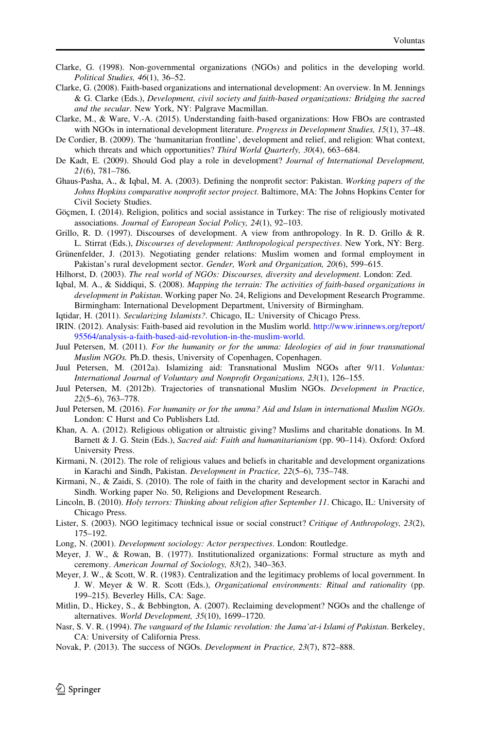- <span id="page-21-0"></span>Clarke, G. (1998). Non-governmental organizations (NGOs) and politics in the developing world. Political Studies, 46(1), 36–52.
- Clarke, G. (2008). Faith-based organizations and international development: An overview. In M. Jennings & G. Clarke (Eds.), Development, civil society and faith-based organizations: Bridging the sacred and the secular. New York, NY: Palgrave Macmillan.
- Clarke, M., & Ware, V.-A. (2015). Understanding faith-based organizations: How FBOs are contrasted with NGOs in international development literature. *Progress in Development Studies, 15*(1), 37–48.
- De Cordier, B. (2009). The 'humanitarian frontline', development and relief, and religion: What context, which threats and which opportunities? Third World Quarterly, 30(4), 663–684.
- De Kadt, E. (2009). Should God play a role in development? Journal of International Development, 21(6), 781–786.
- Ghaus-Pasha, A., & Iqbal, M. A. (2003). Defining the nonprofit sector: Pakistan. Working papers of the Johns Hopkins comparative nonprofit sector project. Baltimore, MA: The Johns Hopkins Center for Civil Society Studies.
- Göçmen, I. (2014). Religion, politics and social assistance in Turkey: The rise of religiously motivated associations. Journal of European Social Policy, 24(1), 92–103.
- Grillo, R. D. (1997). Discourses of development. A view from anthropology. In R. D. Grillo & R. L. Stirrat (Eds.), Discourses of development: Anthropological perspectives. New York, NY: Berg.
- Grünenfelder, J. (2013). Negotiating gender relations: Muslim women and formal employment in Pakistan's rural development sector. Gender, Work and Organization, 20(6), 599–615.
- Hilhorst, D. (2003). The real world of NGOs: Discourses, diversity and development. London: Zed.
- Iqbal, M. A., & Siddiqui, S. (2008). Mapping the terrain: The activities of faith-based organizations in development in Pakistan. Working paper No. 24, Religions and Development Research Programme. Birmingham: International Development Department, University of Birmingham.
- Iqtidar, H. (2011). Secularizing Islamists?. Chicago, IL: University of Chicago Press.
- IRIN. (2012). Analysis: Faith-based aid revolution in the Muslim world. [http://www.irinnews.org/report/](http://www.irinnews.org/report/95564/analysis-a-faith-based-aid-revolution-in-the-muslim-world) [95564/analysis-a-faith-based-aid-revolution-in-the-muslim-world](http://www.irinnews.org/report/95564/analysis-a-faith-based-aid-revolution-in-the-muslim-world).
- Juul Petersen, M. (2011). For the humanity or for the umma: Ideologies of aid in four transnational Muslim NGOs. Ph.D. thesis, University of Copenhagen, Copenhagen.
- Juul Petersen, M. (2012a). Islamizing aid: Transnational Muslim NGOs after 9/11. Voluntas: International Journal of Voluntary and Nonprofit Organizations, 23(1), 126–155.
- Juul Petersen, M. (2012b). Trajectories of transnational Muslim NGOs. Development in Practice, 22(5–6), 763–778.
- Juul Petersen, M. (2016). For humanity or for the umma? Aid and Islam in international Muslim NGOs. London: C Hurst and Co Publishers Ltd.
- Khan, A. A. (2012). Religious obligation or altruistic giving? Muslims and charitable donations. In M. Barnett & J. G. Stein (Eds.), Sacred aid: Faith and humanitarianism (pp. 90–114). Oxford: Oxford University Press.
- Kirmani, N. (2012). The role of religious values and beliefs in charitable and development organizations in Karachi and Sindh, Pakistan. Development in Practice, 22(5–6), 735–748.
- Kirmani, N., & Zaidi, S. (2010). The role of faith in the charity and development sector in Karachi and Sindh. Working paper No. 50, Religions and Development Research.
- Lincoln, B. (2010). Holy terrors: Thinking about religion after September 11. Chicago, IL: University of Chicago Press.
- Lister, S. (2003). NGO legitimacy technical issue or social construct? Critique of Anthropology, 23(2), 175–192.
- Long, N. (2001). Development sociology: Actor perspectives. London: Routledge.
- Meyer, J. W., & Rowan, B. (1977). Institutionalized organizations: Formal structure as myth and ceremony. American Journal of Sociology, 83(2), 340–363.
- Meyer, J. W., & Scott, W. R. (1983). Centralization and the legitimacy problems of local government. In J. W. Meyer & W. R. Scott (Eds.), Organizational environments: Ritual and rationality (pp. 199–215). Beverley Hills, CA: Sage.
- Mitlin, D., Hickey, S., & Bebbington, A. (2007). Reclaiming development? NGOs and the challenge of alternatives. World Development, 35(10), 1699–1720.
- Nasr, S. V. R. (1994). The vanguard of the Islamic revolution: the Jama'at-i Islami of Pakistan. Berkeley, CA: University of California Press.
- Novak, P. (2013). The success of NGOs. Development in Practice, 23(7), 872–888.